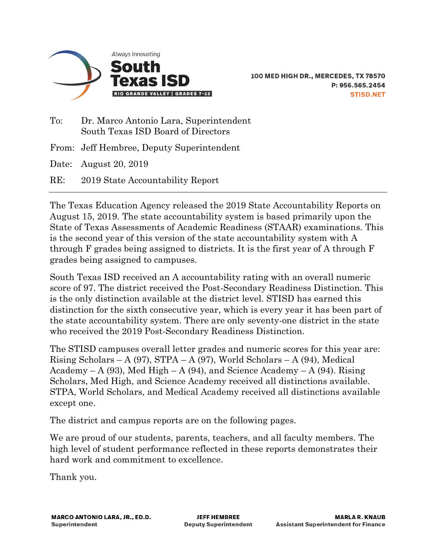

To: Dr. Marco Antonio Lara, Superintendent South Texas ISD Board of Directors From: Jeff Hembree, Deputy Superintendent Date: August 20, 2019

RE: 2019 State Accountability Report

The Texas Education Agency released the 2019 State Accountability Reports on August 15, 2019. The state accountability system is based primarily upon the State of Texas Assessments of Academic Readiness (STAAR) examinations. This is the second year of this version of the state accountability system with A through F grades being assigned to districts. It is the first year of A through F grades being assigned to campuses.

South Texas ISD received an A accountability rating with an overall numeric score of 97. The district received the Post-Secondary Readiness Distinction. This is the only distinction available at the district level. STISD has earned this distinction for the sixth consecutive year, which is every year it has been part of the state accountability system. There are only seventy-one district in the state who received the 2019 Post-Secondary Readiness Distinction.

The STISD campuses overall letter grades and numeric scores for this year are: Rising Scholars – A (97), STPA – A (97), World Scholars – A (94), Medical Academy – A (93), Med High – A (94), and Science Academy – A (94). Rising Scholars, Med High, and Science Academy received all distinctions available. STPA, World Scholars, and Medical Academy received all distinctions available except one.

The district and campus reports are on the following pages.

We are proud of our students, parents, teachers, and all faculty members. The high level of student performance reflected in these reports demonstrates their hard work and commitment to excellence.

Thank you.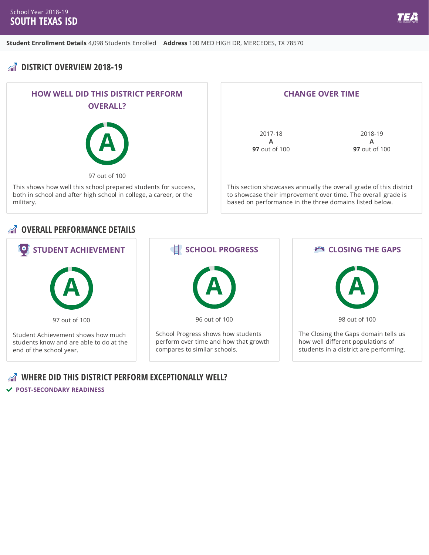## **M**<sup> $\hat{M}$ </sup> **DISTRICT OVERVIEW 2018-19**



| <b>CHANGE OVER TIME</b>                                            |                      |
|--------------------------------------------------------------------|----------------------|
|                                                                    |                      |
|                                                                    |                      |
| 2017-18                                                            | 2018-19              |
| А                                                                  | А                    |
| <b>97</b> out of 100                                               | <b>97</b> out of 100 |
|                                                                    |                      |
|                                                                    |                      |
|                                                                    |                      |
| This section showcases annually the overall grade of this district |                      |

to showcase their improvement over time. The overall grade is based on performance in the three domains listed below.

#### *<b>OVERALL PERFORMANCE DETAILS*



#### **WHERE DID THIS DISTRICT PERFORM EXCEPTIONALLY WELL?**

**POST-SECONDARY READINESS**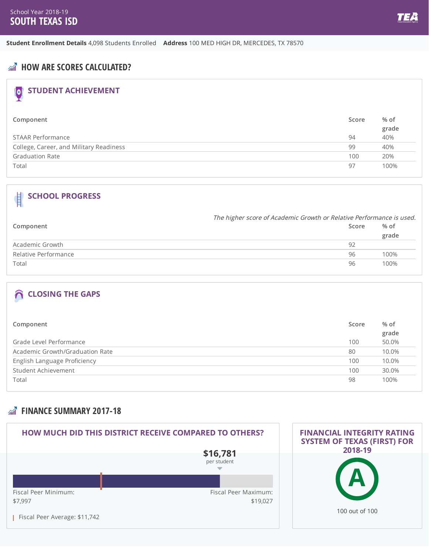**Student Enrollment Details** 4,098 Students Enrolled **Address** 100 MED HIGH DR, MERCEDES, TX 78570

### **AND HOW ARE SCORES CALCULATED?**

## **STUDENT ACHIEVEMENT**

| Component                               | Score | % of  |
|-----------------------------------------|-------|-------|
|                                         |       | grade |
| STAAR Performance                       | 94    | 40%   |
| College, Career, and Military Readiness | 99    | 40%   |
| <b>Graduation Rate</b>                  | 100   | 20%   |
| Total                                   | 97    | 100%  |

#### **SCHOOL PROGRESS**  $\blacksquare$

|                      | The higher score of Academic Growth or Relative Performance is used. |       |
|----------------------|----------------------------------------------------------------------|-------|
| Component            | Score                                                                | % of  |
|                      |                                                                      | grade |
| Academic Growth      | 92                                                                   |       |
| Relative Performance | 96                                                                   | 100%  |
| Total                | 96                                                                   | 100%  |

## **CLOSING THE GAPS**

| Component                       | Score | % of<br>grade |
|---------------------------------|-------|---------------|
| Grade Level Performance         | 100   | 50.0%         |
| Academic Growth/Graduation Rate | 80    | 10.0%         |
| English Language Proficiency    | 100   | 10.0%         |
| Student Achievement             | 100   | 30.0%         |
| Total                           | 98    | 100%          |

### **FINANCE SUMMARY 2017-18**

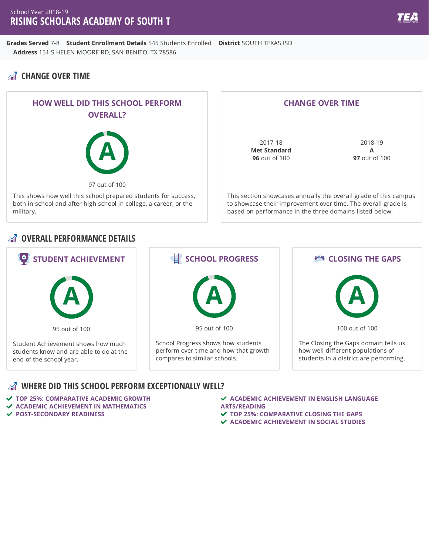**Grades Served** 7-8 **Student Enrollment Details** 545 Students Enrolled **District** SOUTH TEXAS ISD **Address** 151 S HELEN MOORE RD, SAN BENITO, TX 78586

## **CHANGE OVER TIME**



#### **CHANGE OVER TIME**

2017-18 **Met Standard 96** out of 100

2018-19 **A 97** out of 100

This section showcases annually the overall grade of this campus to showcase their improvement over time. The overall grade is based on performance in the three domains listed below.

#### **OVERALL PERFORMANCE DETAILS**



- **TOP 25%: COMPARATIVE ACADEMIC GROWTH ACADEMIC ACHIEVEMENT IN MATHEMATICS**
- **POST-SECONDARY READINESS**
- **ACADEMIC ACHIEVEMENT IN ENGLISH LANGUAGE ARTS/READING**
- **TOP 25%: COMPARATIVE CLOSING THE GAPS**
- **ACADEMIC ACHIEVEMENT IN SOCIAL STUDIES**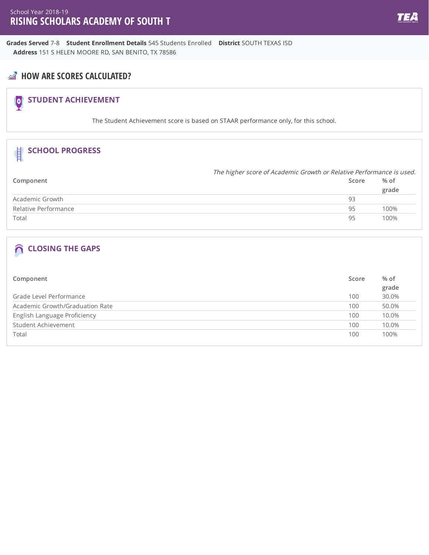**Grades Served** 7-8 **Student Enrollment Details** 545 Students Enrolled **District** SOUTH TEXAS ISD **Address** 151 S HELEN MOORE RD, SAN BENITO, TX 78586

## **AND** HOW ARE SCORES CALCULATED?

# **STUDENT ACHIEVEMENT**

The Student Achievement score is based on STAAR performance only, for this school.

| <b>SCHOOL PROGRESS</b> |                                                                      |               |
|------------------------|----------------------------------------------------------------------|---------------|
|                        | The higher score of Academic Growth or Relative Performance is used. |               |
| Component              | Score                                                                | % of<br>grade |
| Academic Growth        | 93                                                                   |               |
| Relative Performance   | 95                                                                   | 100%          |
| Total                  | 95                                                                   | 100%          |

| Component                       | Score | % of<br>grade |
|---------------------------------|-------|---------------|
| Grade Level Performance         | 100   | 30.0%         |
| Academic Growth/Graduation Rate | 100   | 50.0%         |
| English Language Proficiency    | 100   | 10.0%         |
| Student Achievement             | 100   | 10.0%         |
| Total                           | 100   | 100%          |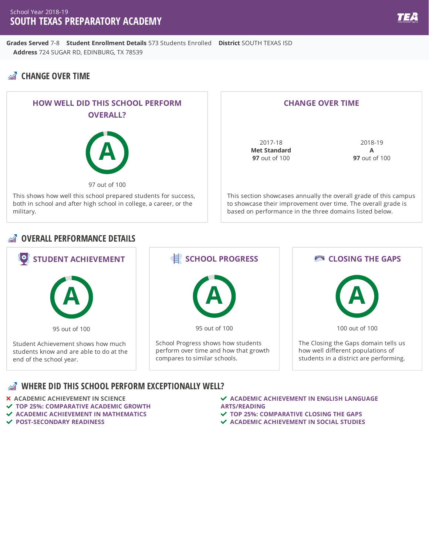**Grades Served** 7-8 **Student Enrollment Details** 573 Students Enrolled **District** SOUTH TEXAS ISD **Address** 724 SUGAR RD, EDINBURG, TX 78539

## **CHANGE OVER TIME**



#### **CHANGE OVER TIME**

2017-18 **Met Standard 97** out of 100

2018-19 **A 97** out of 100

This section showcases annually the overall grade of this campus to showcase their improvement over time. The overall grade is based on performance in the three domains listed below.

#### **OVERALL PERFORMANCE DETAILS**



#### **WHERE DID THIS SCHOOL PERFORM EXCEPTIONALLY WELL?**

**ACADEMIC ACHIEVEMENT IN SCIENCE**

- **TOP 25%: COMPARATIVE ACADEMIC GROWTH**
- **ACADEMIC ACHIEVEMENT IN MATHEMATICS**
- **POST-SECONDARY READINESS**

 **ACADEMIC ACHIEVEMENT IN ENGLISH LANGUAGE ARTS/READING**

- **TOP 25%: COMPARATIVE CLOSING THE GAPS**
- **ACADEMIC ACHIEVEMENT IN SOCIAL STUDIES**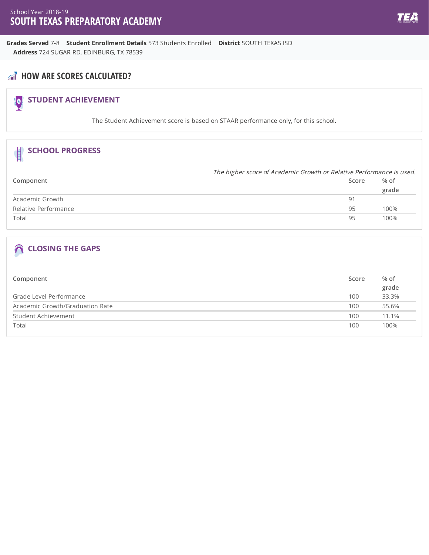**Grades Served** 7-8 **Student Enrollment Details** 573 Students Enrolled **District** SOUTH TEXAS ISD **Address** 724 SUGAR RD, EDINBURG, TX 78539

## **AND** HOW ARE SCORES CALCULATED?

# **STUDENT ACHIEVEMENT**

The Student Achievement score is based on STAAR performance only, for this school.

| <b>SCHOOL PROGRESS</b> |                                                                      |       |
|------------------------|----------------------------------------------------------------------|-------|
|                        | The higher score of Academic Growth or Relative Performance is used. |       |
| Component              | Score                                                                | % of  |
|                        |                                                                      | grade |
| Academic Growth        | 91                                                                   |       |
| Relative Performance   | 95                                                                   | 100%  |
| Total                  | 95                                                                   | 100%  |
|                        |                                                                      |       |

| Component                       | Score | % of  |
|---------------------------------|-------|-------|
|                                 |       | grade |
| Grade Level Performance         | 100   | 33.3% |
| Academic Growth/Graduation Rate | 100   | 55.6% |
| Student Achievement             | 100   | 11.1% |
| Total                           | 100   | 100%  |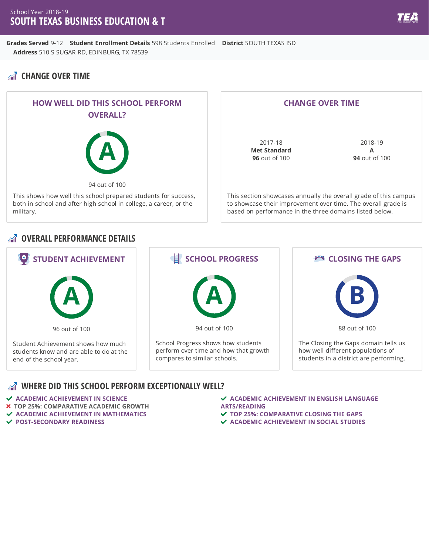**Grades Served** 9-12 **Student Enrollment Details** 598 Students Enrolled **District** SOUTH TEXAS ISD **Address** 510 S SUGAR RD, EDINBURG, TX 78539

## **CHANGE OVER TIME**



#### **CHANGE OVER TIME**

2017-18 **Met Standard 96** out of 100

2018-19 **A 94** out of 100

This section showcases annually the overall grade of this campus to showcase their improvement over time. The overall grade is based on performance in the three domains listed below.

#### **OVERALL PERFORMANCE DETAILS**



- **ACADEMIC ACHIEVEMENT IN SCIENCE**
- **TOP 25%: COMPARATIVE ACADEMIC GROWTH**
- **ACADEMIC ACHIEVEMENT IN MATHEMATICS**
- **POST-SECONDARY READINESS**
- **ACADEMIC ACHIEVEMENT IN ENGLISH LANGUAGE ARTS/READING**
- **TOP 25%: COMPARATIVE CLOSING THE GAPS**
- **ACADEMIC ACHIEVEMENT IN SOCIAL STUDIES**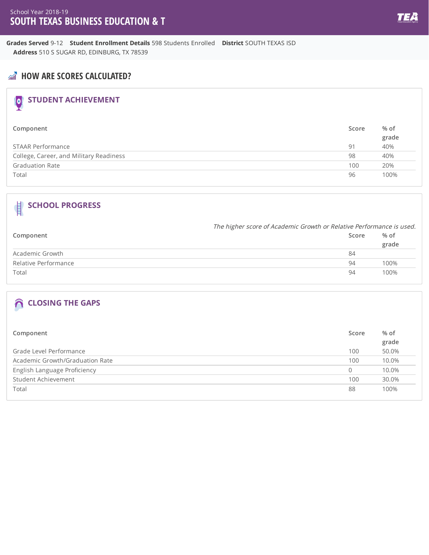**Grades Served** 9-12 **Student Enrollment Details** 598 Students Enrolled **District** SOUTH TEXAS ISD **Address** 510 S SUGAR RD, EDINBURG, TX 78539

## **AND** HOW ARE SCORES CALCULATED?

# **STUDENT ACHIEVEMENT**

| Component                               | Score | % of  |
|-----------------------------------------|-------|-------|
|                                         |       | grade |
| STAAR Performance                       | 91    | 40%   |
| College, Career, and Military Readiness | 98    | 40%   |
| <b>Graduation Rate</b>                  | 100   | 20%   |
| Total                                   | 96    | 100%  |

## **SCHOOL PROGRESS**

|                      |       | The higher score of Academic Growth or Relative Performance is used. |  |
|----------------------|-------|----------------------------------------------------------------------|--|
| Component            | Score | % of                                                                 |  |
|                      |       | grade                                                                |  |
| Academic Growth      | 84    |                                                                      |  |
| Relative Performance | 94    | 100%                                                                 |  |
| Total                | 94    | 100%                                                                 |  |

| Component                       | Score | % of<br>grade |
|---------------------------------|-------|---------------|
| Grade Level Performance         | 100   | 50.0%         |
| Academic Growth/Graduation Rate | 100   | 10.0%         |
| English Language Proficiency    | 0     | 10.0%         |
| Student Achievement             | 100   | 30.0%         |
| Total                           | 88    | 100%          |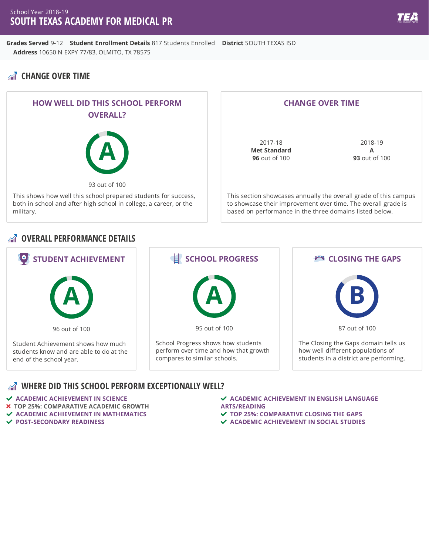**Grades Served** 9-12 **Student Enrollment Details** 817 Students Enrolled **District** SOUTH TEXAS ISD **Address** 10650 N EXPY 77/83, OLMITO, TX 78575

## **CHANGE OVER TIME**



#### **CHANGE OVER TIME**

2017-18 **Met Standard 96** out of 100

2018-19 **A 93** out of 100

This section showcases annually the overall grade of this campus to showcase their improvement over time. The overall grade is based on performance in the three domains listed below.

#### **OVERALL PERFORMANCE DETAILS**



- **ACADEMIC ACHIEVEMENT IN SCIENCE**
- **TOP 25%: COMPARATIVE ACADEMIC GROWTH**
- **ACADEMIC ACHIEVEMENT IN MATHEMATICS**
- **POST-SECONDARY READINESS**
- **ACADEMIC ACHIEVEMENT IN ENGLISH LANGUAGE ARTS/READING**
- **TOP 25%: COMPARATIVE CLOSING THE GAPS**
- **ACADEMIC ACHIEVEMENT IN SOCIAL STUDIES**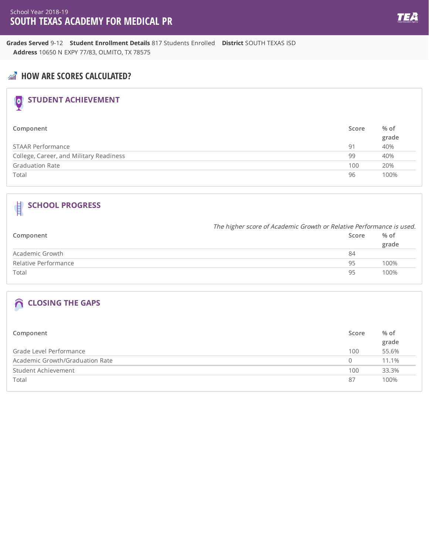**Grades Served** 9-12 **Student Enrollment Details** 817 Students Enrolled **District** SOUTH TEXAS ISD **Address** 10650 N EXPY 77/83, OLMITO, TX 78575

## **AND** HOW ARE SCORES CALCULATED?

# **STUDENT ACHIEVEMENT**

| Component                               | Score | % of  |
|-----------------------------------------|-------|-------|
|                                         |       | grade |
| STAAR Performance                       | 91    | 40%   |
| College, Career, and Military Readiness | 99    | 40%   |
| <b>Graduation Rate</b>                  | 100   | 20%   |
| Total                                   | 96    | 100%  |

## **SCHOOL PROGRESS**

|                      |       | The higher score of Academic Growth or Relative Performance is used. |  |
|----------------------|-------|----------------------------------------------------------------------|--|
| Component            | Score | % of                                                                 |  |
|                      |       | grade                                                                |  |
| Academic Growth      | 84    |                                                                      |  |
| Relative Performance | 95    | 100%                                                                 |  |
| Total                | 95    | 100%                                                                 |  |

| Component                       | Score | % of<br>grade |
|---------------------------------|-------|---------------|
| Grade Level Performance         | 100   | 55.6%         |
| Academic Growth/Graduation Rate | 0     | 11.1%         |
| Student Achievement             | 100   | 33.3%         |
| Total                           | 87    | 100%          |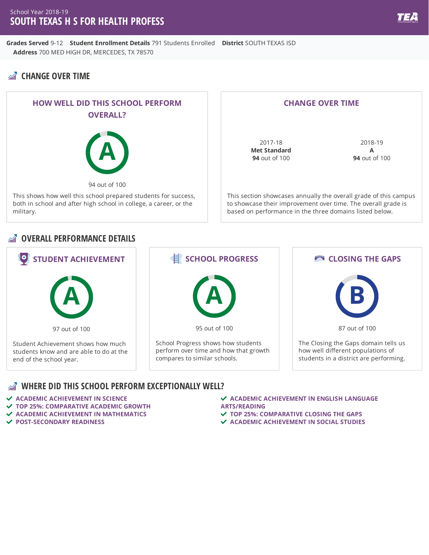**Grades Served** 9-12 **Student Enrollment Details** 791 Students Enrolled **District** SOUTH TEXAS ISD **Address** 700 MED HIGH DR, MERCEDES, TX 78570

## **CHANGE OVER TIME**



#### **CHANGE OVER TIME**

2017-18 **Met Standard 94** out of 100

2018-19 **A 94** out of 100

This section showcases annually the overall grade of this campus to showcase their improvement over time. The overall grade is based on performance in the three domains listed below.

#### **OVERALL PERFORMANCE DETAILS**



- **ACADEMIC ACHIEVEMENT IN SCIENCE**
- **TOP 25%: COMPARATIVE ACADEMIC GROWTH**
- **ACADEMIC ACHIEVEMENT IN MATHEMATICS**
- **POST-SECONDARY READINESS**
- **ACADEMIC ACHIEVEMENT IN ENGLISH LANGUAGE ARTS/READING**
- **TOP 25%: COMPARATIVE CLOSING THE GAPS**
- **ACADEMIC ACHIEVEMENT IN SOCIAL STUDIES**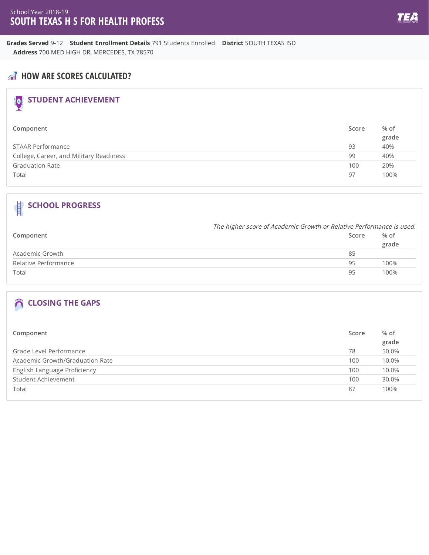**Grades Served** 9-12 **Student Enrollment Details** 791 Students Enrolled **District** SOUTH TEXAS ISD **Address** 700 MED HIGH DR, MERCEDES, TX 78570

## **AND** HOW ARE SCORES CALCULATED?

# **STUDENT ACHIEVEMENT**

| Component                               | Score | % of  |
|-----------------------------------------|-------|-------|
|                                         |       | grade |
| STAAR Performance                       | 93    | 40%   |
| College, Career, and Military Readiness | 99    | 40%   |
| <b>Graduation Rate</b>                  | 100   | 20%   |
| Total                                   | 97    | 100%  |

## **SCHOOL PROGRESS**

|                      |       | The higher score of Academic Growth or Relative Performance is used. |  |
|----------------------|-------|----------------------------------------------------------------------|--|
| Component            | Score | % of                                                                 |  |
|                      |       | grade                                                                |  |
| Academic Growth      | 85    |                                                                      |  |
| Relative Performance | 95    | 100%                                                                 |  |
| Total                | 95    | 100%                                                                 |  |

| Component                       | Score | % of  |
|---------------------------------|-------|-------|
|                                 |       | grade |
| Grade Level Performance         | 78    | 50.0% |
| Academic Growth/Graduation Rate | 100   | 10.0% |
| English Language Proficiency    | 100   | 10.0% |
| Student Achievement             | 100   | 30.0% |
| Total                           | 87    | 100%  |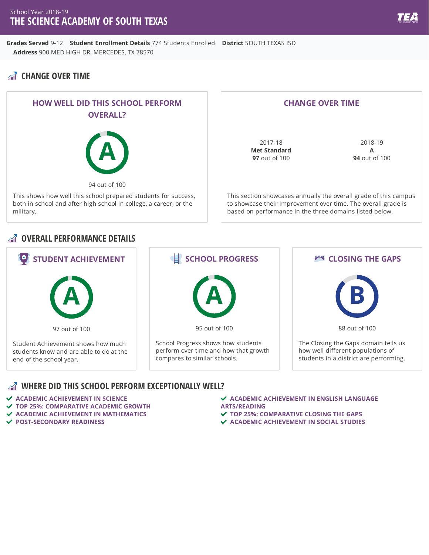**Grades Served** 9-12 **Student Enrollment Details** 774 Students Enrolled **District** SOUTH TEXAS ISD **Address** 900 MED HIGH DR, MERCEDES, TX 78570

## **CHANGE OVER TIME**



#### **CHANGE OVER TIME**

2017-18 **Met Standard 97** out of 100

2018-19 **A 94** out of 100

This section showcases annually the overall grade of this campus to showcase their improvement over time. The overall grade is based on performance in the three domains listed below.

#### **OVERALL PERFORMANCE DETAILS**



- **ACADEMIC ACHIEVEMENT IN SCIENCE**
- **TOP 25%: COMPARATIVE ACADEMIC GROWTH**
- **ACADEMIC ACHIEVEMENT IN MATHEMATICS**
- **POST-SECONDARY READINESS**
- **ACADEMIC ACHIEVEMENT IN ENGLISH LANGUAGE ARTS/READING**
- **TOP 25%: COMPARATIVE CLOSING THE GAPS**
- **ACADEMIC ACHIEVEMENT IN SOCIAL STUDIES**